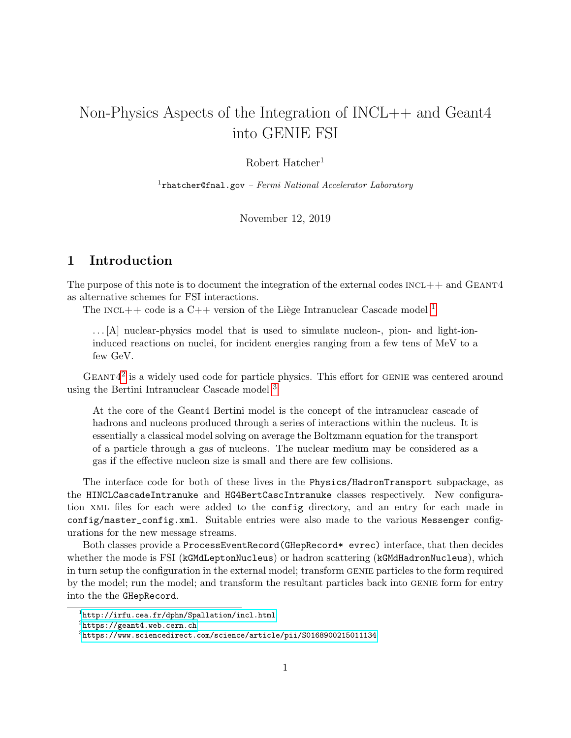# Non-Physics Aspects of the Integration of INCL++ and Geant4 into GENIE FSI

### Robert Hatcher<sup>1</sup>

 $1$ rhatcher@fnal.gov – Fermi National Accelerator Laboratory

November 12, 2019

# 1 Introduction

The purpose of this note is to document the integration of the external codes  $INCL++$  and  $GEANT4$ as alternative schemes for FSI interactions.

The INCL++ code is a C++ version of the Liège Intranuclear Cascade model  $^1$  $^1$ 

. . . [A] nuclear-physics model that is used to simulate nucleon-, pion- and light-ioninduced reactions on nuclei, for incident energies ranging from a few tens of MeV to a few GeV.

 $GEANT4<sup>2</sup>$  $GEANT4<sup>2</sup>$  $GEANT4<sup>2</sup>$  is a widely used code for particle physics. This effort for GENIE was centered around using the Bertini Intranuclear Cascade model [3](#page-0-2)

At the core of the Geant4 Bertini model is the concept of the intranuclear cascade of hadrons and nucleons produced through a series of interactions within the nucleus. It is essentially a classical model solving on average the Boltzmann equation for the transport of a particle through a gas of nucleons. The nuclear medium may be considered as a gas if the effective nucleon size is small and there are few collisions.

The interface code for both of these lives in the Physics/HadronTransport subpackage, as the HINCLCascadeIntranuke and HG4BertCascIntranuke classes respectively. New configuration xml files for each were added to the config directory, and an entry for each made in config/master\_config.xml. Suitable entries were also made to the various Messenger configurations for the new message streams.

Both classes provide a ProcessEventRecord(GHepRecord\* evrec) interface, that then decides whether the mode is FSI (kGMdLeptonNucleus) or hadron scattering (kGMdHadronNucleus), which in turn setup the configuration in the external model; transform GENIE particles to the form required by the model; run the model; and transform the resultant particles back into GENIE form for entry into the the GHepRecord.

<span id="page-0-0"></span> $^{1}$ <http://irfu.cea.fr/dphn/Spallation/incl.html>

<span id="page-0-1"></span> $^{2}$ https://geant $4$ .web.cern.ch

<span id="page-0-2"></span> $^3$ <https://www.sciencedirect.com/science/article/pii/S0168900215011134>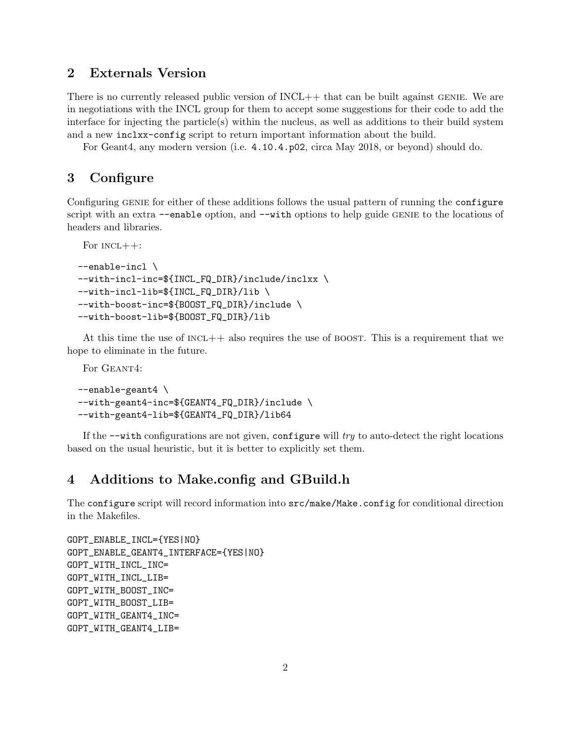# 2 Externals Version

There is no currently released public version of  $INCL++$  that can be built against GENIE. We are in negotiations with the INCL group for them to accept some suggestions for their code to add the interface for injecting the particle(s) within the nucleus, as well as additions to their build system and a new inclxx-config script to return important information about the build.

For Geant4, any modern version (i.e. 4.10.4.p02, circa May 2018, or beyond) should do.

## 3 Configure

Configuring GENIE for either of these additions follows the usual pattern of running the configure script with an extra --enable option, and --with options to help guide GENIE to the locations of headers and libraries.

```
For INCL++:
--enable-incl \
--with-incl-inc=${INCL_FQ_DIR}/include/inclxx \
--with-incl-lib=${INCL_FQ_DIR}/lib \
--with-boost-inc=${BOOST_FQ_DIR}/include \
--with-boost-lib=${BOOST_FQ_DIR}/lib
```
At this time the use of  $INC++$  also requires the use of BOOST. This is a requirement that we hope to eliminate in the future.

For GEANT4:

```
--enable-geant4 \
--with-geant4-inc=${GEANT4_FQ_DIR}/include \
--with-geant4-lib=${GEANT4_FQ_DIR}/lib64
```
If the  $-\text{with configurations are not given, configure will try to auto-detect the right locations$ based on the usual heuristic, but it is better to explicitly set them.

# 4 Additions to Make.config and GBuild.h

The configure script will record information into src/make/Make.config for conditional direction in the Makefiles.

```
GOPT_ENABLE_INCL={YES|NO}
GOPT_ENABLE_GEANT4_INTERFACE={YES|NO}
GOPT_WITH_INCL_INC=
GOPT_WITH_INCL_LIB=
GOPT_WITH_BOOST_INC=
GOPT_WITH_BOOST_LIB=
GOPT_WITH_GEANT4_INC=
GOPT_WITH_GEANT4_LIB=
```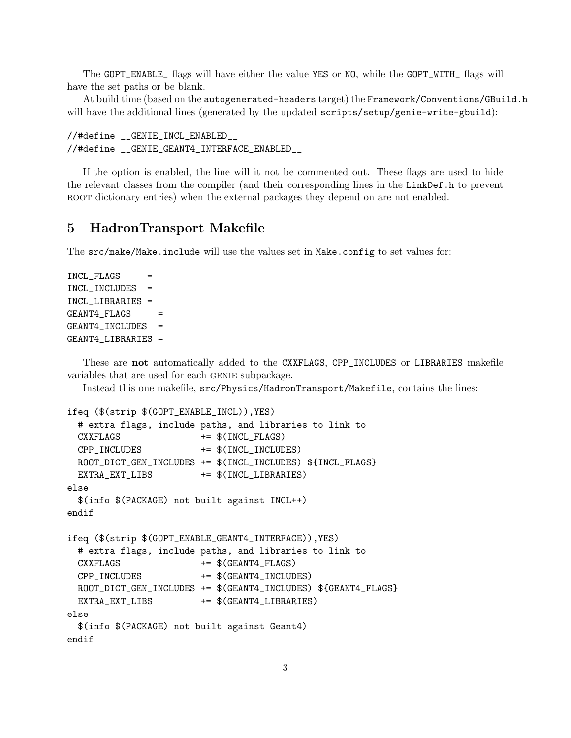The GOPT\_ENABLE\_ flags will have either the value YES or NO, while the GOPT\_WITH\_ flags will have the set paths or be blank.

At build time (based on the autogenerated-headers target) the Framework/Conventions/GBuild.h will have the additional lines (generated by the updated scripts/setup/genie-write-gbuild):

```
//#define __GENIE_INCL_ENABLED__
//#define __GENIE_GEANT4_INTERFACE_ENABLED__
```
If the option is enabled, the line will it not be commented out. These flags are used to hide the relevant classes from the compiler (and their corresponding lines in the LinkDef.h to prevent ROOT dictionary entries) when the external packages they depend on are not enabled.

### 5 HadronTransport Makefile

The src/make/Make.include will use the values set in Make.config to set values for:

```
INCL_FLAGS
INCL_INCLUDES =
INCL_LIBRARIES =
GEANT4<sub>FLAGS</sub> =GEANT4_INCLUDES =
GEANT4_LIBRARIES =
```
These are not automatically added to the CXXFLAGS, CPP\_INCLUDES or LIBRARIES makefile variables that are used for each GENIE subpackage.

Instead this one makefile, src/Physics/HadronTransport/Makefile, contains the lines:

```
ifeq ($(strip $(GOPT_ENABLE_INCL)),YES)
```

```
# extra flags, include paths, and libraries to link to
 CXXFLAGS += $(INCL_FLAGS)
 CPP_INCLUDES += $(INCL_INCLUDES)
 ROOT_DICT_GEN_INCLUDES += $(INCL_INCL_IVCLUDES) ${INCL_FLAGS}EXTRA_EXT_LIBS += $(INCL_LIBRARIES)
else
 $(info $(PACKAGE) not built against INCL++)
endif
ifeq ($(strip $(GOPT_ENABLE_GEANT4_INTERFACE)),YES)
 # extra flags, include paths, and libraries to link to
 CXXFLAGS += $(GEANT4_FLAGS)
 CPP_INCLUDES += $(GEANT4_INCLUDES)
 ROOT_DICT_GEN_INCLUDES += $(GEANT4_INCLUDES) ${GEANT4_FLAGS}
 EXTRA_EXT_LIBS += $(GEANT4_LIBRARIES)
else
 $(info $(PACKAGE) not built against Geant4)
endif
```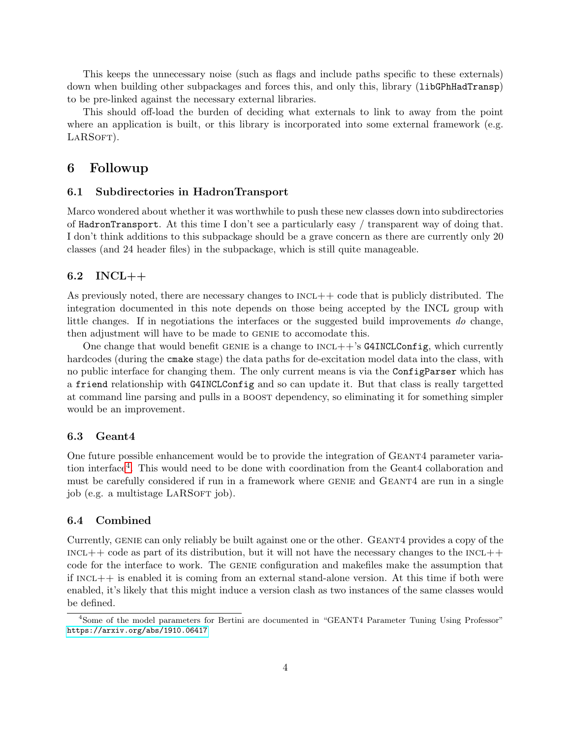This keeps the unnecessary noise (such as flags and include paths specific to these externals) down when building other subpackages and forces this, and only this, library (1ibGPhHadTransp) to be pre-linked against the necessary external libraries.

This should off-load the burden of deciding what externals to link to away from the point where an application is built, or this library is incorporated into some external framework (e.g. LARSOFT).

### 6 Followup

#### 6.1 Subdirectories in HadronTransport

Marco wondered about whether it was worthwhile to push these new classes down into subdirectories of HadronTransport. At this time I don't see a particularly easy / transparent way of doing that. I don't think additions to this subpackage should be a grave concern as there are currently only 20 classes (and 24 header files) in the subpackage, which is still quite manageable.

### 6.2 INCL++

As previously noted, there are necessary changes to  $INC++$  code that is publicly distributed. The integration documented in this note depends on those being accepted by the INCL group with little changes. If in negotiations the interfaces or the suggested build improvements do change, then adjustment will have to be made to GENIE to accomodate this.

One change that would benefit GENIE is a change to  $INCL++$ 's G4INCLConfig, which currently hardcodes (during the cmake stage) the data paths for de-excitation model data into the class, with no public interface for changing them. The only current means is via the ConfigParser which has a friend relationship with G4INCLConfig and so can update it. But that class is really targetted at command line parsing and pulls in a boost dependency, so eliminating it for something simpler would be an improvement.

#### 6.3 Geant4

One future possible enhancement would be to provide the integration of GEANT4 parameter varia-tion interface<sup>[4](#page-3-0)</sup>. This would need to be done with coordination from the Geant4 collaboration and must be carefully considered if run in a framework where GENIE and GEANT4 are run in a single job (e.g. a multistage LARSOFT job).

#### 6.4 Combined

Currently, GENIE can only reliably be built against one or the other. GEANT4 provides a copy of the  $i$ INCL $++$  code as part of its distribution, but it will not have the necessary changes to the INCL $++$ code for the interface to work. The genie configuration and makefiles make the assumption that if  $INC++$  is enabled it is coming from an external stand-alone version. At this time if both were enabled, it's likely that this might induce a version clash as two instances of the same classes would be defined.

<span id="page-3-0"></span><sup>&</sup>lt;sup>4</sup>Some of the model parameters for Bertini are documented in "GEANT4 Parameter Tuning Using Professor" <https://arxiv.org/abs/1910.06417>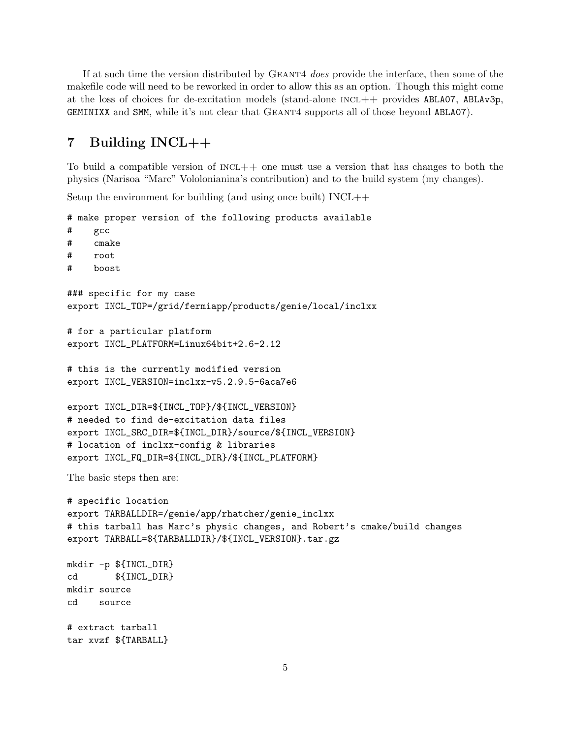If at such time the version distributed by GEANT4 does provide the interface, then some of the makefile code will need to be reworked in order to allow this as an option. Though this might come at the loss of choices for de-excitation models (stand-alone  $INCL++$  provides ABLA07, ABLAv3p, GEMINIXX and SMM, while it's not clear that Geant4 supports all of those beyond ABLA07).

# 7 Building INCL++

To build a compatible version of  $INC++$  one must use a version that has changes to both the physics (Narisoa "Marc" Vololonianina's contribution) and to the build system (my changes).

Setup the environment for building (and using once built) INCL++

```
# make proper version of the following products available
# gcc
# cmake
# root
# boost
### specific for my case
export INCL_TOP=/grid/fermiapp/products/genie/local/inclxx
# for a particular platform
export INCL_PLATFORM=Linux64bit+2.6-2.12
# this is the currently modified version
export INCL_VERSION=inclxx-v5.2.9.5-6aca7e6
export INCL_DIR=${INCL_TOP}/${INCL_VERSION}
# needed to find de-excitation data files
export INCL_SRC_DIR=${INCL_DIR}/source/${INCL_VERSION}
# location of inclxx-config & libraries
export INCL_FQ_DIR=${INCL_DIR}/${INCL_PLATFORM}
The basic steps then are:
# specific location
export TARBALLDIR=/genie/app/rhatcher/genie_inclxx
# this tarball has Marc's physic changes, and Robert's cmake/build changes
export TARBALL=${TARBALLDIR}/${INCL_VERSION}.tar.gz
mkdir -p ${INCL_DIR}
cd ${INCL_DIR}
mkdir source
cd source
# extract tarball
tar xvzf ${TARBALL}
```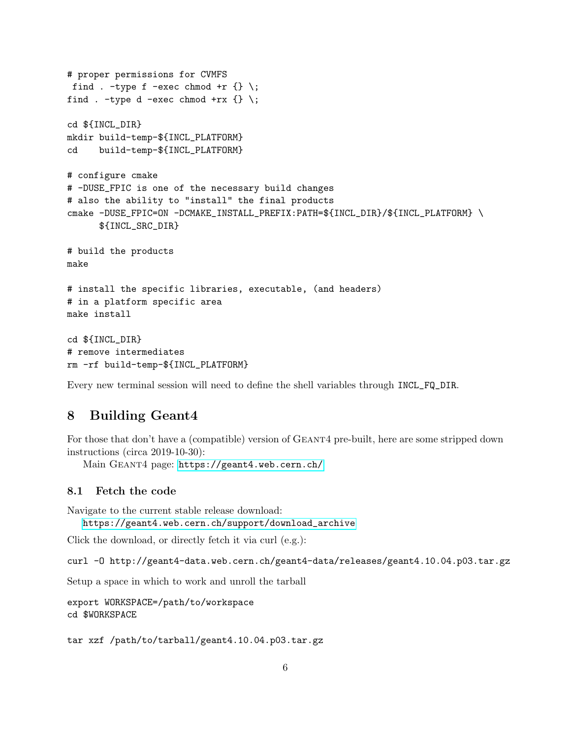```
# proper permissions for CVMFS
find . -type f -exec chmod +r \{\} \setminus;find . -type d -exec chmod +rx \{\} \setminus;cd ${INCL_DIR}
mkdir build-temp-${INCL_PLATFORM}
cd build-temp-${INCL_PLATFORM}
# configure cmake
# -DUSE_FPIC is one of the necessary build changes
# also the ability to "install" the final products
cmake -DUSE_FPIC=ON -DCMAKE_INSTALL_PREFIX:PATH=${INCL_DIR}/${INCL_PLATFORM} \
      ${INCL_SRC_DIR}
# build the products
make
# install the specific libraries, executable, (and headers)
# in a platform specific area
make install
cd ${INCL_DIR}
# remove intermediates
rm -rf build-temp-${INCL_PLATFORM}
```
Every new terminal session will need to define the shell variables through INCL\_FQ\_DIR.

## 8 Building Geant4

For those that don't have a (compatible) version of GEANT4 pre-built, here are some stripped down instructions (circa 2019-10-30):

Main Geant4 page: <https://geant4.web.cern.ch/>

#### 8.1 Fetch the code

Navigate to the current stable release download:

[https://geant4.web.cern.ch/support/download\\_archive](https://geant4.web.cern.ch/support/download_archive)

Click the download, or directly fetch it via curl (e.g.):

curl -O http://geant4-data.web.cern.ch/geant4-data/releases/geant4.10.04.p03.tar.gz

Setup a space in which to work and unroll the tarball

```
export WORKSPACE=/path/to/workspace
cd $WORKSPACE
```
tar xzf /path/to/tarball/geant4.10.04.p03.tar.gz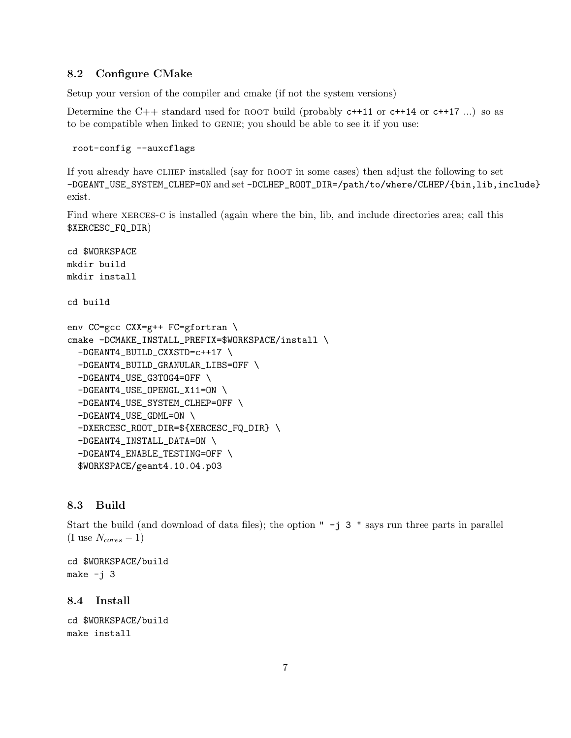### 8.2 Configure CMake

Setup your version of the compiler and cmake (if not the system versions)

Determine the C++ standard used for ROOT build (probably  $c+11$  or  $c+14$  or  $c+17$  ...) so as to be compatible when linked to GENIE; you should be able to see it if you use:

```
root-config --auxcflags
```
If you already have clhep installed (say for root in some cases) then adjust the following to set -DGEANT\_USE\_SYSTEM\_CLHEP=ON and set -DCLHEP\_ROOT\_DIR=/path/to/where/CLHEP/{bin,lib,include} exist.

Find where XERCES-C is installed (again where the bin, lib, and include directories area; call this \$XERCESC\_FQ\_DIR)

```
cd $WORKSPACE
mkdir build
mkdir install
cd build
env CC=gcc CXX=g++ FC=gfortran \
cmake -DCMAKE_INSTALL_PREFIX=$WORKSPACE/install \
  -DGEANT4_BUILD_CXXSTD=c++17 \
  -DGEANT4_BUILD_GRANULAR_LIBS=OFF \
  -DGEANT4_USE_G3TOG4=OFF \
  -DGEANT4_USE_OPENGL_X11=ON \
  -DGEANT4_USE_SYSTEM_CLHEP=OFF \
  -DGEANT4_USE_GDML=ON \
  -DXERCESC_ROOT_DIR=${XERCESC_FQ_DIR} \
  -DGEANT4_INSTALL_DATA=ON \
  -DGEANT4_ENABLE_TESTING=OFF \
  $WORKSPACE/geant4.10.04.p03
```
### 8.3 Build

Start the build (and download of data files); the option  $" -j 3 "$  says run three parts in parallel (I use  $N_{cores}-1$ )

```
cd $WORKSPACE/build
make -j 3
```
### 8.4 Install

```
cd $WORKSPACE/build
make install
```